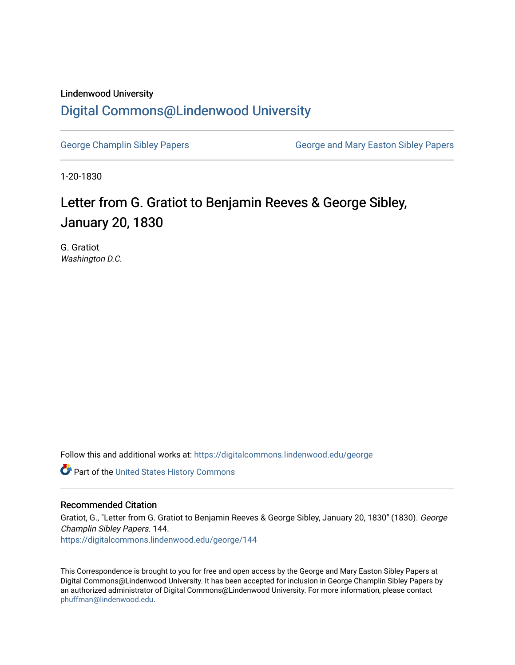## Lindenwood University [Digital Commons@Lindenwood University](https://digitalcommons.lindenwood.edu/)

[George Champlin Sibley Papers](https://digitalcommons.lindenwood.edu/george) George and Mary Easton Sibley Papers

1-20-1830

## Letter from G. Gratiot to Benjamin Reeves & George Sibley, January 20, 1830

G. Gratiot Washington D.C.

Follow this and additional works at: [https://digitalcommons.lindenwood.edu/george](https://digitalcommons.lindenwood.edu/george?utm_source=digitalcommons.lindenwood.edu%2Fgeorge%2F144&utm_medium=PDF&utm_campaign=PDFCoverPages)

Part of the [United States History Commons](http://network.bepress.com/hgg/discipline/495?utm_source=digitalcommons.lindenwood.edu%2Fgeorge%2F144&utm_medium=PDF&utm_campaign=PDFCoverPages) 

## Recommended Citation

Gratiot, G., "Letter from G. Gratiot to Benjamin Reeves & George Sibley, January 20, 1830" (1830). George Champlin Sibley Papers. 144. [https://digitalcommons.lindenwood.edu/george/144](https://digitalcommons.lindenwood.edu/george/144?utm_source=digitalcommons.lindenwood.edu%2Fgeorge%2F144&utm_medium=PDF&utm_campaign=PDFCoverPages)

This Correspondence is brought to you for free and open access by the George and Mary Easton Sibley Papers at Digital Commons@Lindenwood University. It has been accepted for inclusion in George Champlin Sibley Papers by an authorized administrator of Digital Commons@Lindenwood University. For more information, please contact [phuffman@lindenwood.edu](mailto:phuffman@lindenwood.edu).